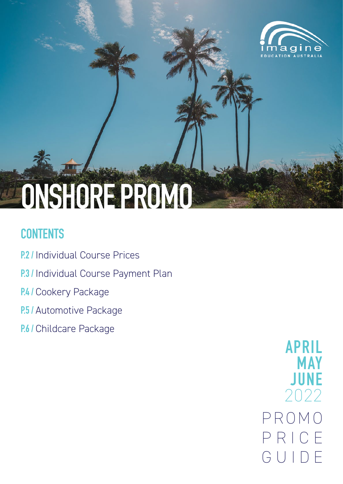

# **ONSHORE PROMO**

# **CONTENTS**

- **P.2 /** Individual Course Prices
- **P.3 / Individual Course Payment Plan**
- **P.4 / Cookery Package**
- **P.5 / Automotive Package**
- **P.6 /** Childcare Package

P R O M O P R I C E GUIDE **APRIL MAY JUNE** 2022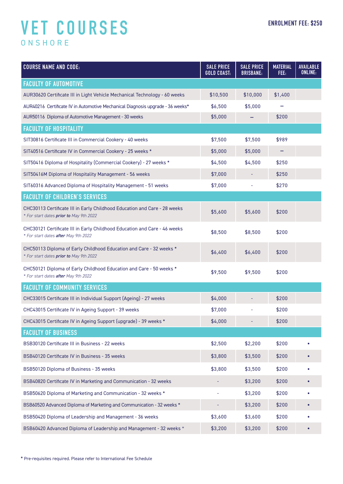# **VET COURSES** ONSHORE

| <b>COURSE NAME AND CODE:</b>                                                                                         | <b>SALE PRICE</b><br><b>GOLD COAST:</b> | <b>SALE PRICE</b><br><b>BRISBANE:</b> | <b>MATERIAL</b><br>FEE: | <b>AVAILABLE</b><br><b>ONLINE:</b> |
|----------------------------------------------------------------------------------------------------------------------|-----------------------------------------|---------------------------------------|-------------------------|------------------------------------|
| <b>FACULTY OF AUTOMOTIVE</b>                                                                                         |                                         |                                       |                         |                                    |
| AUR30620 Certificate III in Light Vehicle Mechanical Technology - 60 weeks                                           | \$10,500                                | \$10,000                              | \$1,400                 |                                    |
| AUR40216 Certificate IV in Automotive Mechanical Diagnosis upgrade - 36 weeks*                                       | \$6,500                                 | \$5,000                               |                         |                                    |
| AUR50116 Diploma of Automotive Management - 30 weeks                                                                 | \$5,000                                 |                                       | \$200                   |                                    |
| <b>FACULTY OF HOSPITALITY</b>                                                                                        |                                         |                                       |                         |                                    |
| SIT30816 Certificate III in Commercial Cookery - 40 weeks                                                            | \$7,500                                 | \$7,500                               | \$989                   |                                    |
| SIT40516 Certificate IV in Commercial Cookery - 25 weeks *                                                           | \$5,000                                 | \$5,000                               |                         |                                    |
| SIT50416 Diploma of Hospitality (Commercial Cookery) - 27 weeks *                                                    | \$4,500                                 | \$4,500                               | \$250                   |                                    |
| SIT50416M Diploma of Hospitality Management - 56 weeks                                                               | \$7,000                                 |                                       | \$250                   |                                    |
| SIT60316 Advanced Diploma of Hospitality Management - 51 weeks                                                       | \$7,000                                 |                                       | \$270                   |                                    |
| <b>FACULTY OF CHILDREN'S SERVICES</b>                                                                                |                                         |                                       |                         |                                    |
| CHC30113 Certificate III in Early Childhood Education and Care - 28 weeks<br>* For start dates prior to May 9th 2022 | \$5,600                                 | \$5,600                               | \$200                   |                                    |
| CHC30121 Certificate III in Early Childhood Education and Care - 46 weeks<br>* For start dates after May 9th 2022    | \$8,500                                 | \$8,500                               | \$200                   |                                    |
| CHC50113 Diploma of Early Childhood Education and Care - 32 weeks *<br>* For start dates prior to May 9th 2022       | \$6,400                                 | \$6,400                               | \$200                   |                                    |
| CHC50121 Diploma of Early Childhood Education and Care - 50 weeks *<br>* For start dates after May 9th 2022          | \$9,500                                 | \$9,500                               | \$200                   |                                    |
| <b>FACULTY OF COMMUNITY SERVICES</b>                                                                                 |                                         |                                       |                         |                                    |
| CHC33015 Certificate III in Individual Support (Ageing) - 27 weeks                                                   | \$4,000                                 |                                       | \$200                   |                                    |
| CHC43015 Certificate IV in Ageing Support - 39 weeks                                                                 | \$7,000                                 |                                       | \$200                   |                                    |
| CHC43015 Certificate IV in Ageing Support (upgrade) - 39 weeks *                                                     | \$4,000                                 |                                       | \$200                   |                                    |
| <b>FACULTY OF BUSINESS</b>                                                                                           |                                         |                                       |                         |                                    |
| BSB30120 Certificate III in Business - 22 weeks                                                                      | \$2,500                                 | \$2,200                               | \$200                   |                                    |
| BSB40120 Certificate IV in Business - 35 weeks                                                                       | \$3,800                                 | \$3,500                               | \$200                   |                                    |
| BSB50120 Diploma of Business - 35 weeks                                                                              | \$3,800                                 | \$3,500                               | \$200                   |                                    |
| BSB40820 Certificate IV in Marketing and Communication - 32 weeks                                                    |                                         | \$3,200                               | \$200                   |                                    |
| BSB50620 Diploma of Marketing and Communication - 32 weeks *                                                         |                                         | \$3,200                               | \$200                   |                                    |
| BSB60520 Advanced Diploma of Marketing and Communication - 32 weeks *                                                |                                         | \$3,200                               | \$200                   |                                    |
| BSB50420 Diploma of Leadership and Management - 36 weeks                                                             | \$3,600                                 | \$3,600                               | \$200                   |                                    |
| BSB60420 Advanced Diploma of Leadership and Management - 32 weeks *                                                  | \$3,200                                 | \$3,200                               | \$200                   | $\bullet$                          |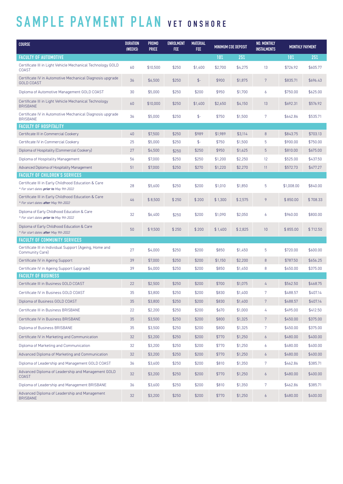# **SAMPLE PAYMENT PLAN VET ONSHORE**

| <b>COURSE</b>                                                                                  | <b>DURATION</b><br>(WEEKS) | <b>PROMO</b><br><b>PRICE</b> | ENROLMENT<br><b>FEE</b> | <b>MATERIAL</b><br>FEE |         | MINIMUM COE DEPOSIT |                  | <b>MONTHLY PAYMENT</b> |          |
|------------------------------------------------------------------------------------------------|----------------------------|------------------------------|-------------------------|------------------------|---------|---------------------|------------------|------------------------|----------|
| <b>FACULTY OF AUTOMOTIVE</b>                                                                   |                            |                              |                         |                        | $10\%$  | 25%                 |                  | $10\%$                 | 25%      |
| Certificate III in Light Vehicle Mechanical Technology GOLD<br><b>COAST</b>                    | 60                         | \$10,500                     | \$250                   | \$1,400                | \$2,700 | \$4,275             | 13               | \$726.92               | \$605.77 |
| Certificate IV in Automotive Mechanical Diagnosis upgrade<br><b>GOLD COAST</b>                 | 36                         | \$6,500                      | \$250                   | $\frac{4}{5}$          | \$900   | \$1,875             | 7                | \$835.71               | \$696.43 |
| Diploma of Automotive Management GOLD COAST                                                    | 30                         | \$5,000                      | \$250                   | \$200                  | \$950   | \$1,700             | 6                | \$750.00               | \$625.00 |
| Certificate III in Light Vehicle Mechanical Technology<br><b>BRISBANE</b>                      | 60                         | \$10,000                     | \$250                   | \$1,400                | \$2,650 | \$4,150             | 13               | \$692.31               | \$576.92 |
| Certificate IV in Automotive Mechanical Diagnosis upgrade<br><b>BRISBANE</b>                   | 36                         | \$5,000                      | \$250                   | $\frac{4}{5}$          | \$750   | \$1,500             | 7                | \$642.86               | \$535.71 |
| <b>FACULTY OF HOSPITALITY</b>                                                                  |                            |                              |                         |                        |         |                     |                  |                        |          |
| Certificate III in Commercial Cookery                                                          | 40                         | \$7,500                      | \$250                   | \$989                  | \$1,989 | \$3,114             | $\boldsymbol{8}$ | \$843.75               | \$703.13 |
| Certificate IV in Commercial Cookery                                                           | 25                         | \$5,000                      | \$250                   | $\frac{4}{5}$          | \$750   | \$1,500             | 5                | \$900.00               | \$750.00 |
| Diploma of Hospitality (Commercial Cookery)                                                    | 27                         | \$4,500                      | \$250                   | \$250                  | \$950   | \$1,625             | 5                | \$810.00               | \$675.00 |
| Diploma of Hospitality Management                                                              | 56                         | \$7,000                      | \$250                   | \$250                  | \$1,200 | \$2,250             | 12 <sup>°</sup>  | \$525.00               | \$437.50 |
| Advanced Diploma of Hospitality Management                                                     | 51                         | \$7,000                      | \$250                   | \$270                  | \$1,220 | \$2,270             | 11               | \$572.73               | \$477.27 |
| <b>FACULTY OF CHILDREN'S SERVICES</b>                                                          |                            |                              |                         |                        |         |                     |                  |                        |          |
| Certificate III in Early Childhood Education & Care<br>* For start dates prior to May 9th 2022 | 28                         | \$5,600                      | \$250                   | \$200                  | \$1,010 | \$1,850             | 5                | \$1,008.00             | \$840.00 |
| Certificate III in Early Childhood Education & Care<br>* For start dates after May 9th 2022    | 46                         | \$8,500                      | \$250                   | \$200                  | \$1,300 | \$2,575             | 9                | \$850.00               | \$708.33 |
| Diploma of Early Childhood Education & Care<br>* For start dates <i>prior to May 9th 2022</i>  | 32                         | \$6,400                      | \$250                   | \$200                  | \$1,090 | \$2,050             | 6                | \$960.00               | \$800.00 |
| Diploma of Early Childhood Education & Care<br>* For start dates after May 9th 2022            | 50                         | \$9,500                      | \$250                   | \$200                  | \$1,400 | \$2,825             | 10 <sup>°</sup>  | \$855.00               | \$712.50 |
| <b>FACULTY OF COMMUNITY SERVICES</b>                                                           |                            |                              |                         |                        |         |                     |                  |                        |          |
| Certificate III in Individual Support (Ageing, Home and<br>Community Care)                     | 27                         | \$4,000                      | \$250                   | \$200                  | \$850   | \$1,450             | 5                | \$720.00               | \$600.00 |
| Certificate IV in Ageing Support                                                               | 39                         | \$7,000                      | \$250                   | \$200                  | \$1,150 | \$2,200             | $\boldsymbol{8}$ | \$787.50               | \$656.25 |
| Certificate IV in Ageing Support (upgrade)                                                     | 39                         | \$4,000                      | \$250                   | \$200                  | \$850   | \$1,450             | 8                | \$450.00               | \$375.00 |
| <b>FACULTY OF BUSINESS</b>                                                                     |                            |                              |                         |                        |         |                     |                  |                        |          |
| Certificate III in Business GOLD COAST                                                         | 22                         | \$2,500                      | \$250                   | \$200                  | \$700   | \$1,075             | 4                | \$562.50               | \$468.75 |
| Certificate IV in Business GOLD COAST                                                          | 35                         | \$3,800                      | \$250                   | \$200                  | \$830   | \$1,400             | 7                | \$488.57               | \$407.14 |
| Diploma of Business GOLD COAST                                                                 | 35                         | \$3,800                      | \$250                   | \$200                  | \$830   | \$1,400             | 7                | \$488.57               | \$407.14 |
| Certificate III in Business BRISBANE                                                           | 22                         | \$2,200                      | \$250                   | \$200                  | \$670   | \$1,000             | 4                | \$495.00               | \$412.50 |
| Certificate IV in Business BRISBANE                                                            | 35                         | \$3,500                      | \$250                   | \$200                  | \$800   | \$1,325             | 7 <sup>7</sup>   | \$450.00               | \$375.00 |
| Diploma of Business BRISBANE                                                                   | 35                         | \$3,500                      | \$250                   | \$200                  | \$800   | \$1,325             | 7                | \$450.00               | \$375.00 |
| Certificate IV in Marketing and Communication                                                  | 32                         | \$3,200                      | \$250                   | \$200                  | \$770   | \$1,250             | $\overline{6}$   | \$480.00               | \$400.00 |
| Diploma of Marketing and Communication                                                         | 32                         | \$3,200                      | \$250                   | \$200                  | \$770   | \$1,250             | 6                | \$480.00               | \$400.00 |
| Advanced Diploma of Marketing and Communication                                                | 32                         | \$3,200                      | \$250                   | \$200                  | \$770   | \$1,250             | $\overline{6}$   | \$480.00               | \$400.00 |
| Diploma of Leadership and Management GOLD COAST                                                | 36                         | \$3,600                      | \$250                   | \$200                  | \$810   | \$1,350             | 7                | \$462.86               | \$385.71 |
| Advanced Diploma of Leadership and Management GOLD<br><b>COAST</b>                             | 32                         | \$3,200                      | \$250                   | \$200                  | \$770   | \$1,250             | $\overline{6}$   | \$480.00               | \$400.00 |
| Diploma of Leadership and Management BRISBANE                                                  | 36                         | \$3,600                      | \$250                   | \$200                  | \$810   | \$1,350             | 7                | \$462.86               | \$385.71 |
| Advanced Diploma of Leadership and Management<br><b>BRISBANE</b>                               | 32                         | \$3,200                      | \$250                   | \$200                  | \$770   | \$1,250             | $\epsilon$       | \$480.00               | \$400.00 |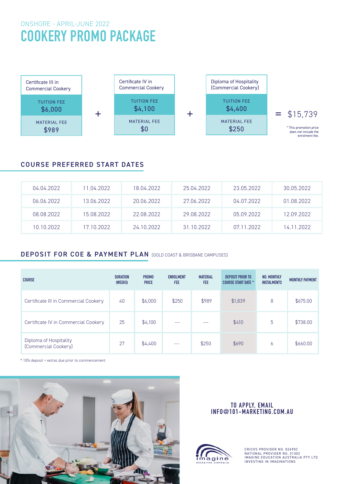# ONSHORE - APRIL-JUNE 2022 **COOKERY PROMO PACKAGE**



# COURSE PREFERRED START DATES

| 04.04.2022 | 11.04.2022. | 18.04.2022 | 25.04.2022 | 23.05.2022 | 30.05.2022 |
|------------|-------------|------------|------------|------------|------------|
| 06.06.2022 | 13.06.2022  | 20.06.2022 | 27.06.2022 | 04.07.2022 | 01.08.2022 |
| 08.08.2022 | 15.08.2022  | 22.08.2022 | 29.08.2022 | 05.09.2022 | 12.09.2022 |
| 10 10 2022 | 17 10 2022  | 24 10 2022 | 31 10 2022 | 07 11 2022 | 14 11 2022 |

## DEPOSIT FOR COE & PAYMENT PLAN (GOLD COAST & BRISBANE CAMPUSES)

| <b>COURSE</b>                                  | <b>DURATION</b><br>(WEEKS) | <b>PROMO</b><br><b>PRICE</b> | <b>ENROLMENT</b><br>FEE | <b>MATERIAL</b><br><b>FEE</b> | <b>DEPOSIT PRIOR TO</b><br><b>COURSE START DATE *</b> | NO. MONTHLY<br><b>INSTALMENTS</b> | <b>MONTHLY PAYMENT</b> |
|------------------------------------------------|----------------------------|------------------------------|-------------------------|-------------------------------|-------------------------------------------------------|-----------------------------------|------------------------|
| Certificate III in Commercial Cookery          | 40                         | \$6,000                      | \$250                   | \$989                         | \$1,839                                               | 8                                 | \$675.00               |
| Certificate IV in Commercial Cookery           | 25                         | \$4,100                      | ---                     | ---                           | \$410                                                 | 5                                 | \$738.00               |
| Diploma of Hospitality<br>(Commercial Cookery) | 27                         | \$4,400                      | ---                     | \$250                         | \$690                                                 | b                                 | \$660.00               |

\* 10% deposit + extras due prior to commencement



#### **TO APPLY, EMAIL INFO@101-MARKETING.COM.AU**



CRICOS PROVIDER NO. 02695C NATIONAL PROVIDER NO. 31302 IMAGINE EDUCATION AUSTRALIA PTY LTD INVESTING IN IMAGINATIONS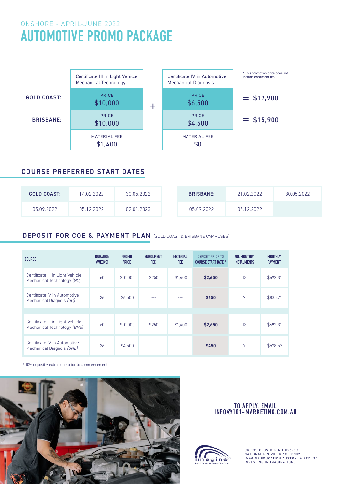# ONSHORE - APRIL-JUNE 2022 **AUTOMOTIVE PROMO PACKAGE**



## COURSE PREFERRED START DATES

| <b>GOLD COAST:</b> | 14.02.2022 | 30.05.2022 | <b>BRISBANE:</b> | 21.02.2022 | 30.05.2022 |
|--------------------|------------|------------|------------------|------------|------------|
| 05.09.2022         | 05.12.2022 | 02.01.2023 | 05.09.2022       | 05.12.2022 |            |

# DEPOSIT FOR COE & PAYMENT PLAN (GOLD COAST & BRISBANE CAMPUSES)

| <b>COURSE</b>                                                   | <b>DURATION</b><br>(WEEKS) | <b>PROMO</b><br><b>PRICE</b> | <b>ENROLMENT</b><br><b>FEE</b> | <b>MATERIAL</b><br><b>FEE</b> | <b>DEPOSIT PRIOR TO</b><br><b>COURSE START DATE *</b> | NO. MONTHLY<br><b>INSTALMENTS</b> | <b>MONTHLY</b><br><b>PAYMENT</b> |
|-----------------------------------------------------------------|----------------------------|------------------------------|--------------------------------|-------------------------------|-------------------------------------------------------|-----------------------------------|----------------------------------|
| Certificate III in Light Vehicle<br>Mechanical Technology (GC)  | 60                         | \$10,000                     | \$250                          | \$1,400                       | \$2,650                                               | 13                                | \$692.31                         |
| Certificate IV in Automotive<br>Mechanical Diagnois (GC)        | 36                         | \$6,500                      |                                |                               | \$650                                                 | 7                                 | \$835.71                         |
|                                                                 |                            |                              |                                |                               |                                                       |                                   |                                  |
| Certificate III in Light Vehicle<br>Mechanical Technology (BNE) | 60                         | \$10,000                     | \$250                          | \$1,400                       | \$2,650                                               | 13                                | \$692.31                         |
| Certificate IV in Automotive<br>Mechanical Diagnois (BNE)       | 36                         | \$4,500                      | ---                            | ---                           | \$450                                                 | 7                                 | \$578.57                         |

\* 10% deposit + extras due prior to commencement



#### **TO APPLY, EMAIL INFO@101-MARKETING.COM.AU**



CRICOS PROVIDER NO. 02695C NATIONAL PROVIDER NO. 31302 IMAGINE EDUCATION AUSTRALIA PTY LTD INVESTING IN IMAGINATIONS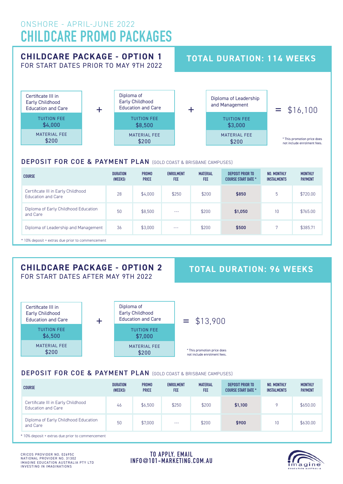# ONSHORE - APRIL-JUNE 2022 **CHILDCARE PROMO PACKAGES**

## **CHILDCARE PACKAGE - OPTION 1** FOR START DATES PRIOR TO MAY 9TH 2022

# **TOTAL DURATION: 114 WEEKS**



### DEPOSIT FOR COE & PAYMENT PLAN (GOLD COAST & BRISBANE CAMPUSES)

| <b>COURSE</b>                                            | <b>DURATION</b><br>(WEEKS) | <b>PROMO</b><br><b>PRICE</b> | <b>ENROLMENT</b><br><b>FEE</b> | <b>MATERIAL</b><br><b>FEE</b> | DEPOSIT PRIOR TO<br><b>COURSE START DATE *</b> | NO. MONTHLY<br><b>INSTALMENTS</b> | <b>MONTHLY</b><br><b>PAYMENT</b> |
|----------------------------------------------------------|----------------------------|------------------------------|--------------------------------|-------------------------------|------------------------------------------------|-----------------------------------|----------------------------------|
| Certificate III in Early Childhood<br>Education and Care | 28                         | \$4,000                      | \$250                          | \$200                         | \$850                                          | 5                                 | \$720.00                         |
| Diploma of Early Childhood Education<br>and Care         | 50                         | \$8,500                      | $\sim$ $\sim$ $\sim$           | \$200                         | \$1,050                                        | 10                                | \$765.00                         |
| Diploma of Leadership and Management                     | 36                         | \$3,000                      | $- - -$                        | \$200                         | \$500                                          | $\mathbf{r}$                      | \$385.71                         |
| * 10% deposit + extras due prior to commencement         |                            |                              |                                |                               |                                                |                                   |                                  |

## **CHILDCARE PACKAGE - OPTION 2** FOR START DATES AFTER MAY 9TH 2022

# **TOTAL DURATION: 96 WEEKS**



## DEPOSIT FOR COE & PAYMENT PLAN (GOLD COAST & BRISBANE CAMPUSES)

| <b>COURSE</b>                                            | <b>DURATION</b><br>(WEEKS) | <b>PROMO</b><br><b>PRICE</b> | <b>ENROLMENT</b><br><b>FEE</b> | <b>MATERIAL</b><br><b>FEE</b> | <b>DEPOSIT PRIOR TO</b><br><b>COURSE START DATE *</b> | NO. MONTHLY<br><b>INSTALMENTS</b> | <b>MONTHLY</b><br><b>PAYMENT</b> |
|----------------------------------------------------------|----------------------------|------------------------------|--------------------------------|-------------------------------|-------------------------------------------------------|-----------------------------------|----------------------------------|
| Certificate III in Early Childhood<br>Education and Care | 46                         | \$6,500                      | \$250                          | \$200                         | \$1,100                                               | O                                 | \$650.00                         |
| Diploma of Early Childhood Education<br>and Care         | 50                         | \$7,000                      | $- - -$                        | \$200                         | \$900                                                 | 10                                | \$630.00                         |

\* 10% deposit + extras due prior to commencement

**TO APPLY, EMAIL INFO@101-MARKETING.COM.AU**